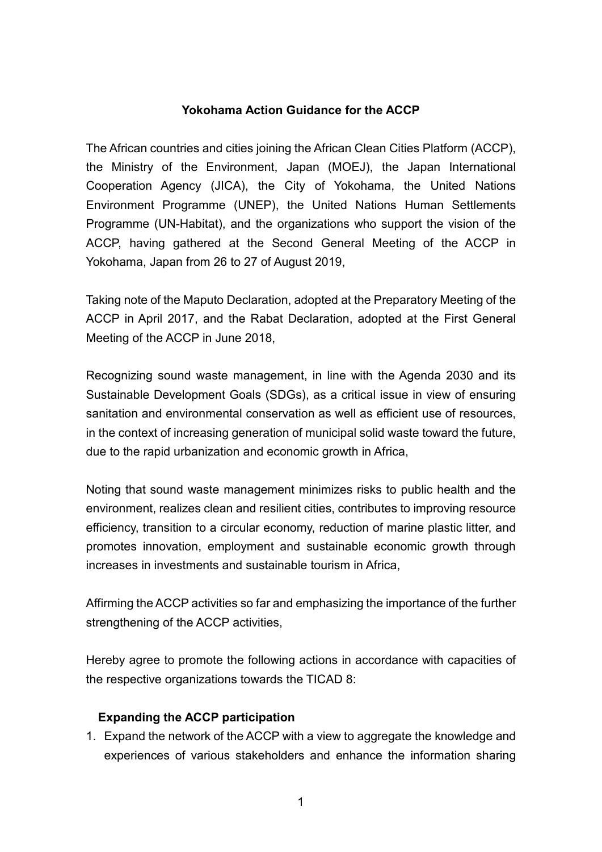## **Yokohama Action Guidance for the ACCP**

The African countries and cities joining the African Clean Cities Platform (ACCP), the Ministry of the Environment, Japan (MOEJ), the Japan International Cooperation Agency (JICA), the City of Yokohama, the United Nations Environment Programme (UNEP), the United Nations Human Settlements Programme (UN-Habitat), and the organizations who support the vision of the ACCP, having gathered at the Second General Meeting of the ACCP in Yokohama, Japan from 26 to 27 of August 2019,

Taking note of the Maputo Declaration, adopted at the Preparatory Meeting of the ACCP in April 2017, and the Rabat Declaration, adopted at the First General Meeting of the ACCP in June 2018,

Recognizing sound waste management, in line with the Agenda 2030 and its Sustainable Development Goals (SDGs), as a critical issue in view of ensuring sanitation and environmental conservation as well as efficient use of resources, in the context of increasing generation of municipal solid waste toward the future, due to the rapid urbanization and economic growth in Africa,

Noting that sound waste management minimizes risks to public health and the environment, realizes clean and resilient cities, contributes to improving resource efficiency, transition to a circular economy, reduction of marine plastic litter, and promotes innovation, employment and sustainable economic growth through increases in investments and sustainable tourism in Africa,

Affirming the ACCP activities so far and emphasizing the importance of the further strengthening of the ACCP activities,

Hereby agree to promote the following actions in accordance with capacities of the respective organizations towards the TICAD 8:

# **Expanding the ACCP participation**

1. Expand the network of the ACCP with a view to aggregate the knowledge and experiences of various stakeholders and enhance the information sharing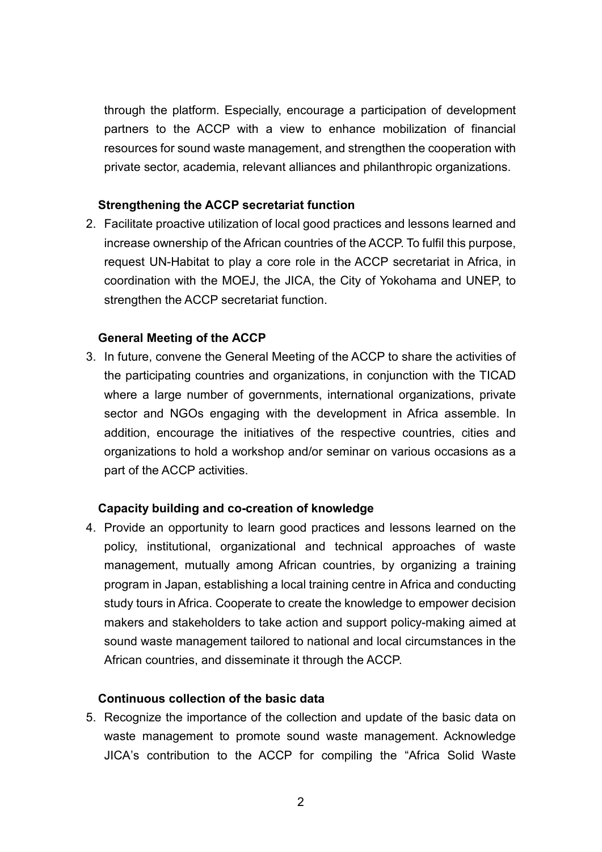through the platform. Especially, encourage a participation of development partners to the ACCP with a view to enhance mobilization of financial resources for sound waste management, and strengthen the cooperation with private sector, academia, relevant alliances and philanthropic organizations.

## **Strengthening the ACCP secretariat function**

2. Facilitate proactive utilization of local good practices and lessons learned and increase ownership of the African countries of the ACCP. To fulfil this purpose, request UN-Habitat to play a core role in the ACCP secretariat in Africa, in coordination with the MOEJ, the JICA, the City of Yokohama and UNEP, to strengthen the ACCP secretariat function.

## **General Meeting of the ACCP**

3. In future, convene the General Meeting of the ACCP to share the activities of the participating countries and organizations, in conjunction with the TICAD where a large number of governments, international organizations, private sector and NGOs engaging with the development in Africa assemble. In addition, encourage the initiatives of the respective countries, cities and organizations to hold a workshop and/or seminar on various occasions as a part of the ACCP activities.

## **Capacity building and co-creation of knowledge**

4. Provide an opportunity to learn good practices and lessons learned on the policy, institutional, organizational and technical approaches of waste management, mutually among African countries, by organizing a training program in Japan, establishing a local training centre in Africa and conducting study tours in Africa. Cooperate to create the knowledge to empower decision makers and stakeholders to take action and support policy-making aimed at sound waste management tailored to national and local circumstances in the African countries, and disseminate it through the ACCP.

#### **Continuous collection of the basic data**

5. Recognize the importance of the collection and update of the basic data on waste management to promote sound waste management. Acknowledge JICA's contribution to the ACCP for compiling the "Africa Solid Waste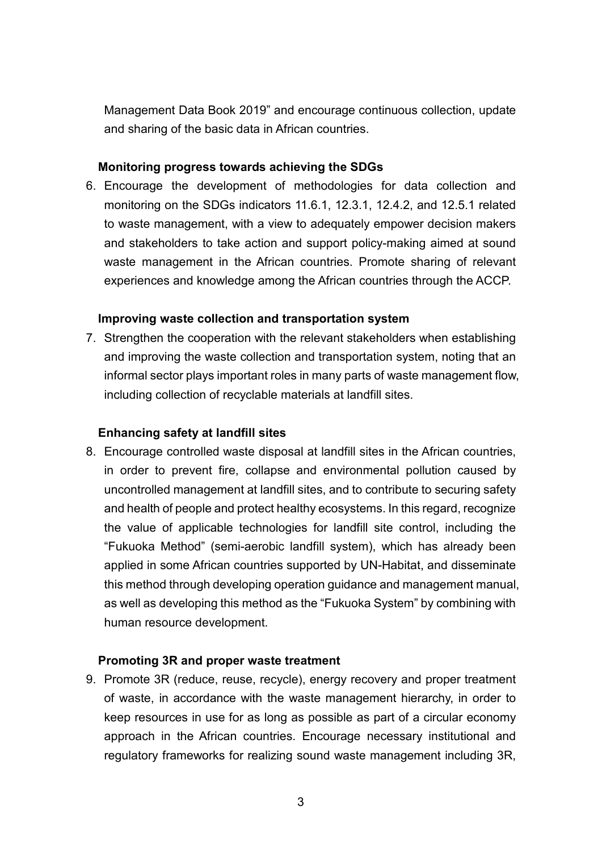Management Data Book 2019" and encourage continuous collection, update and sharing of the basic data in African countries.

## **Monitoring progress towards achieving the SDGs**

6. Encourage the development of methodologies for data collection and monitoring on the SDGs indicators 11.6.1, 12.3.1, 12.4.2, and 12.5.1 related to waste management, with a view to adequately empower decision makers and stakeholders to take action and support policy-making aimed at sound waste management in the African countries. Promote sharing of relevant experiences and knowledge among the African countries through the ACCP.

## **Improving waste collection and transportation system**

7. Strengthen the cooperation with the relevant stakeholders when establishing and improving the waste collection and transportation system, noting that an informal sector plays important roles in many parts of waste management flow, including collection of recyclable materials at landfill sites.

## **Enhancing safety at landfill sites**

8. Encourage controlled waste disposal at landfill sites in the African countries, in order to prevent fire, collapse and environmental pollution caused by uncontrolled management at landfill sites, and to contribute to securing safety and health of people and protect healthy ecosystems. In this regard, recognize the value of applicable technologies for landfill site control, including the "Fukuoka Method" (semi-aerobic landfill system), which has already been applied in some African countries supported by UN-Habitat, and disseminate this method through developing operation guidance and management manual, as well as developing this method as the "Fukuoka System" by combining with human resource development.

## **Promoting 3R and proper waste treatment**

9. Promote 3R (reduce, reuse, recycle), energy recovery and proper treatment of waste, in accordance with the waste management hierarchy, in order to keep resources in use for as long as possible as part of a circular economy approach in the African countries. Encourage necessary institutional and regulatory frameworks for realizing sound waste management including 3R,